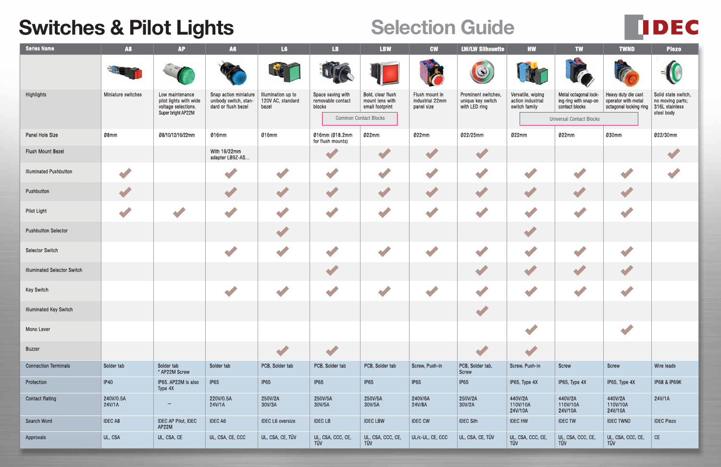## **Switches & Pilot Lights Selection Guide**

| <b>Series Name</b>                 | <b>A8</b>           | <b>AP</b>                                                                              | <b>A6</b>                                                             | L6                                               | LB.                                                                              | <b>LBW</b>                                              | <b>CW</b>                                       | <b>LW/LW Silhouette</b>                                   | <b>HW</b>                                               | <b>TW</b>                                                                                           | <b>TWND</b>                                                          | <b>Piezo</b>                                                            |
|------------------------------------|---------------------|----------------------------------------------------------------------------------------|-----------------------------------------------------------------------|--------------------------------------------------|----------------------------------------------------------------------------------|---------------------------------------------------------|-------------------------------------------------|-----------------------------------------------------------|---------------------------------------------------------|-----------------------------------------------------------------------------------------------------|----------------------------------------------------------------------|-------------------------------------------------------------------------|
|                                    |                     |                                                                                        |                                                                       | F.C                                              |                                                                                  |                                                         |                                                 | $\circledcirc$                                            |                                                         |                                                                                                     |                                                                      |                                                                         |
| Highlights                         | Miniature switches  | Low maintenance<br>pilot lights with wide<br>voltage selections.<br>Super bright AP22M | Snap action miniature<br>unibody switch, stan-<br>dard or flush bezel | Illumination up to<br>120V AC, standard<br>bezel | Space saving with<br>removable contact<br>blocks<br><b>Common Contact Blocks</b> | Bold, clear flush<br>mount lens with<br>small footprint | Flush mount in<br>industrial 22mm<br>panel size | Prominent switches,<br>unique key switch<br>with LED ring | Versatile, wiping<br>action industrial<br>switch family | Metal octagonal lock-<br>ing ring with snap-on<br>contact blocks<br><b>Universal Contact Blocks</b> | Heavy duty die cast<br>operator with metal<br>octagonal locking ring | Solid state switch,<br>no moving parts;<br>316L stainless<br>steel body |
| Panel Hole Size                    | Ø8mm                | Ø8/10/12/16/22mm                                                                       | Ø16mm                                                                 | Ø16mm                                            | Ø16mm (Ø18.2mm<br>for flush mounts)                                              | Ø22mm                                                   | 022mm                                           | Ø22/25mm                                                  | Ø22mm                                                   | Ø22mm                                                                                               | Ø30mm                                                                | Ø22/30mm                                                                |
| Flush Mount Bezel                  |                     |                                                                                        | With 16/22mm<br>adapter LB9Z-AS                                       |                                                  |                                                                                  |                                                         |                                                 |                                                           |                                                         |                                                                                                     |                                                                      |                                                                         |
| <b>Illuminated Pushbutton</b>      |                     |                                                                                        |                                                                       |                                                  |                                                                                  |                                                         |                                                 |                                                           |                                                         |                                                                                                     |                                                                      |                                                                         |
| Pushbutton                         |                     |                                                                                        |                                                                       |                                                  |                                                                                  |                                                         |                                                 |                                                           |                                                         |                                                                                                     |                                                                      |                                                                         |
| Pilot Light                        |                     |                                                                                        |                                                                       |                                                  |                                                                                  |                                                         |                                                 |                                                           |                                                         |                                                                                                     |                                                                      |                                                                         |
| <b>Pushbutton Selector</b>         |                     |                                                                                        |                                                                       |                                                  |                                                                                  |                                                         |                                                 |                                                           |                                                         |                                                                                                     |                                                                      |                                                                         |
| Selector Switch                    |                     |                                                                                        |                                                                       |                                                  |                                                                                  |                                                         |                                                 |                                                           |                                                         |                                                                                                     |                                                                      |                                                                         |
| <b>Illuminated Selector Switch</b> |                     |                                                                                        |                                                                       |                                                  |                                                                                  |                                                         |                                                 |                                                           |                                                         |                                                                                                     |                                                                      |                                                                         |
| Key Switch                         |                     |                                                                                        |                                                                       |                                                  |                                                                                  |                                                         |                                                 |                                                           |                                                         |                                                                                                     |                                                                      |                                                                         |
| <b>Illuminated Key Switch</b>      |                     |                                                                                        |                                                                       |                                                  |                                                                                  |                                                         |                                                 | <b>ALCOHOL:</b>                                           |                                                         |                                                                                                     |                                                                      |                                                                         |
| Mono Lever                         |                     |                                                                                        |                                                                       |                                                  |                                                                                  |                                                         |                                                 |                                                           |                                                         |                                                                                                     |                                                                      |                                                                         |
| Buzzer                             |                     |                                                                                        |                                                                       |                                                  |                                                                                  |                                                         |                                                 |                                                           |                                                         |                                                                                                     |                                                                      |                                                                         |
| <b>Connection Terminals</b>        | Solder tab          | Solder tab<br>* AP22M Screw                                                            | Solder tab                                                            | PCB, Solder tab                                  | PCB, Solder tab                                                                  | PCB, Solder tab                                         | Screw, Push-in                                  | PCB, Solder tab,<br>Screw                                 | Screw, Push-in                                          | Screw                                                                                               | Screw                                                                | Wire leads                                                              |
| Protection                         | IP40                | IP65. AP22M is also<br>Type 4X                                                         | <b>IP65</b>                                                           | IP65                                             | IP65                                                                             | IP65                                                    | <b>IP65</b>                                     | IP65                                                      | IP65, Type 4X                                           | IP65, Type 4X                                                                                       | IP65, Type 4X                                                        | <b>IP68 &amp; IP69K</b>                                                 |
| <b>Contact Rating</b>              | 240V/0.5A<br>24V/1A |                                                                                        | 220V/0.5A<br>24V/1A                                                   | 250V/2A<br>30V/3A                                | 250V/5A<br>30V/5A                                                                | 250V/5A<br>30V/5A                                       | 240V/6A<br>24V/8A                               | 250V/2A<br>30V/2A                                         | 440V/2A<br>110V/10A<br>24V/10A                          | 440V/2A<br>110V/10A<br>24V/10A                                                                      | 440V/2A<br>110V/10A<br>24V/10A                                       | 24V/1A                                                                  |
| Search Word                        | <b>IDEC A8</b>      | <b>IDEC AP Pilot, IDEC</b><br>AP22M                                                    | <b>IDEC A6</b>                                                        | <b>IDEC L6</b> oversize                          | <b>IDEC LB</b>                                                                   | <b>IDEC LBW</b>                                         | <b>IDEC CW</b>                                  | <b>IDEC Silh</b>                                          | <b>IDEC HW</b>                                          | <b>IDECTW</b>                                                                                       | <b>IDEC TWND</b>                                                     | <b>IDEC Piezo</b>                                                       |
| Approvals                          | UL, CSA             | UL, CSA, CE                                                                            | UL, CSA, CE, CCC                                                      | UL, CSA, CE, TÜV                                 | UL, CSA, CCC, CE,<br>TÜV                                                         | UL, CSA, CCC, CE,<br>TÜV                                | UL/c-UL, CE, CCC                                | UL, CSA, CE, TÜV                                          | UL, CSA, CCC, CE,<br>TÜV                                | UL, CSA, CCC, CE,<br>TÜV                                                                            | UL, CSA, CCC, CE,<br>TÜV                                             | $\mathsf{CE}{}$                                                         |